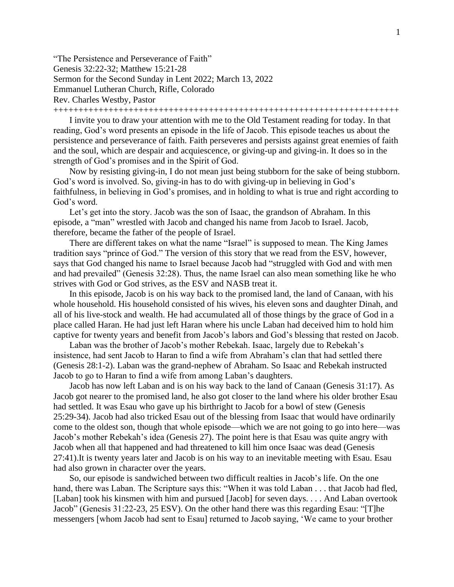"The Persistence and Perseverance of Faith" Genesis 32:22-32; Matthew 15:21-28 Sermon for the Second Sunday in Lent 2022; March 13, 2022 Emmanuel Lutheran Church, Rifle, Colorado Rev. Charles Westby, Pastor

+++++++++++++++++++++++++++++++++++++++++++++++++++++++++++++++++++++

I invite you to draw your attention with me to the Old Testament reading for today. In that reading, God's word presents an episode in the life of Jacob. This episode teaches us about the persistence and perseverance of faith. Faith perseveres and persists against great enemies of faith and the soul, which are despair and acquiescence, or giving-up and giving-in. It does so in the strength of God's promises and in the Spirit of God.

Now by resisting giving-in, I do not mean just being stubborn for the sake of being stubborn. God's word is involved. So, giving-in has to do with giving-up in believing in God's faithfulness, in believing in God's promises, and in holding to what is true and right according to God's word.

Let's get into the story. Jacob was the son of Isaac, the grandson of Abraham. In this episode, a "man" wrestled with Jacob and changed his name from Jacob to Israel. Jacob, therefore, became the father of the people of Israel.

There are different takes on what the name "Israel" is supposed to mean. The King James tradition says "prince of God." The version of this story that we read from the ESV, however, says that God changed his name to Israel because Jacob had "struggled with God and with men and had prevailed" (Genesis 32:28). Thus, the name Israel can also mean something like he who strives with God or God strives, as the ESV and NASB treat it.

In this episode, Jacob is on his way back to the promised land, the land of Canaan, with his whole household. His household consisted of his wives, his eleven sons and daughter Dinah, and all of his live-stock and wealth. He had accumulated all of those things by the grace of God in a place called Haran. He had just left Haran where his uncle Laban had deceived him to hold him captive for twenty years and benefit from Jacob's labors and God's blessing that rested on Jacob.

Laban was the brother of Jacob's mother Rebekah. Isaac, largely due to Rebekah's insistence, had sent Jacob to Haran to find a wife from Abraham's clan that had settled there (Genesis 28:1-2). Laban was the grand-nephew of Abraham. So Isaac and Rebekah instructed Jacob to go to Haran to find a wife from among Laban's daughters.

Jacob has now left Laban and is on his way back to the land of Canaan (Genesis 31:17). As Jacob got nearer to the promised land, he also got closer to the land where his older brother Esau had settled. It was Esau who gave up his birthright to Jacob for a bowl of stew (Genesis 25:29-34). Jacob had also tricked Esau out of the blessing from Isaac that would have ordinarily come to the oldest son, though that whole episode—which we are not going to go into here—was Jacob's mother Rebekah's idea (Genesis 27). The point here is that Esau was quite angry with Jacob when all that happened and had threatened to kill him once Isaac was dead (Genesis 27:41).It is twenty years later and Jacob is on his way to an inevitable meeting with Esau. Esau had also grown in character over the years.

So, our episode is sandwiched between two difficult realties in Jacob's life. On the one hand, there was Laban. The Scripture says this: "When it was told Laban . . . that Jacob had fled, [Laban] took his kinsmen with him and pursued [Jacob] for seven days. . . . And Laban overtook Jacob" (Genesis 31:22-23, 25 ESV). On the other hand there was this regarding Esau: "[T]he messengers [whom Jacob had sent to Esau] returned to Jacob saying, 'We came to your brother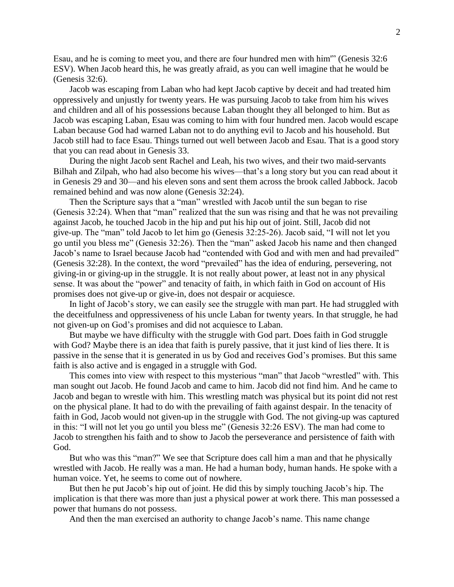Esau, and he is coming to meet you, and there are four hundred men with him'" (Genesis 32:6 ESV). When Jacob heard this, he was greatly afraid, as you can well imagine that he would be (Genesis 32:6).

Jacob was escaping from Laban who had kept Jacob captive by deceit and had treated him oppressively and unjustly for twenty years. He was pursuing Jacob to take from him his wives and children and all of his possessions because Laban thought they all belonged to him. But as Jacob was escaping Laban, Esau was coming to him with four hundred men. Jacob would escape Laban because God had warned Laban not to do anything evil to Jacob and his household. But Jacob still had to face Esau. Things turned out well between Jacob and Esau. That is a good story that you can read about in Genesis 33.

During the night Jacob sent Rachel and Leah, his two wives, and their two maid-servants Bilhah and Zilpah, who had also become his wives—that's a long story but you can read about it in Genesis 29 and 30—and his eleven sons and sent them across the brook called Jabbock. Jacob remained behind and was now alone (Genesis 32:24).

Then the Scripture says that a "man" wrestled with Jacob until the sun began to rise (Genesis 32:24). When that "man" realized that the sun was rising and that he was not prevailing against Jacob, he touched Jacob in the hip and put his hip out of joint. Still, Jacob did not give-up. The "man" told Jacob to let him go (Genesis 32:25-26). Jacob said, "I will not let you go until you bless me" (Genesis 32:26). Then the "man" asked Jacob his name and then changed Jacob's name to Israel because Jacob had "contended with God and with men and had prevailed" (Genesis 32:28). In the context, the word "prevailed" has the idea of enduring, persevering, not giving-in or giving-up in the struggle. It is not really about power, at least not in any physical sense. It was about the "power" and tenacity of faith, in which faith in God on account of His promises does not give-up or give-in, does not despair or acquiesce.

In light of Jacob's story, we can easily see the struggle with man part. He had struggled with the deceitfulness and oppressiveness of his uncle Laban for twenty years. In that struggle, he had not given-up on God's promises and did not acquiesce to Laban.

But maybe we have difficulty with the struggle with God part. Does faith in God struggle with God? Maybe there is an idea that faith is purely passive, that it just kind of lies there. It is passive in the sense that it is generated in us by God and receives God's promises. But this same faith is also active and is engaged in a struggle with God.

This comes into view with respect to this mysterious "man" that Jacob "wrestled" with. This man sought out Jacob. He found Jacob and came to him. Jacob did not find him. And he came to Jacob and began to wrestle with him. This wrestling match was physical but its point did not rest on the physical plane. It had to do with the prevailing of faith against despair. In the tenacity of faith in God, Jacob would not given-up in the struggle with God. The not giving-up was captured in this: "I will not let you go until you bless me" (Genesis 32:26 ESV). The man had come to Jacob to strengthen his faith and to show to Jacob the perseverance and persistence of faith with God.

But who was this "man?" We see that Scripture does call him a man and that he physically wrestled with Jacob. He really was a man. He had a human body, human hands. He spoke with a human voice. Yet, he seems to come out of nowhere.

But then he put Jacob's hip out of joint. He did this by simply touching Jacob's hip. The implication is that there was more than just a physical power at work there. This man possessed a power that humans do not possess.

And then the man exercised an authority to change Jacob's name. This name change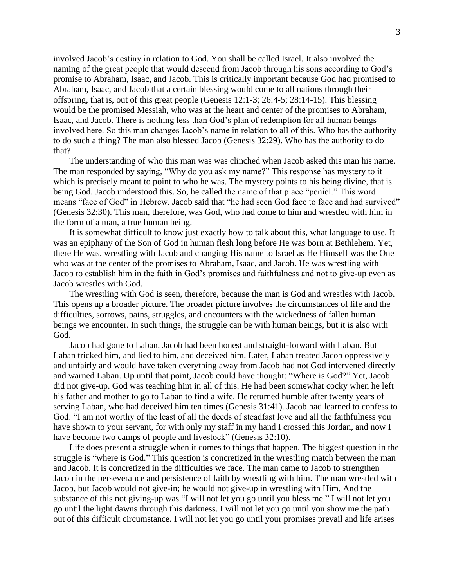involved Jacob's destiny in relation to God. You shall be called Israel. It also involved the naming of the great people that would descend from Jacob through his sons according to God's promise to Abraham, Isaac, and Jacob. This is critically important because God had promised to Abraham, Isaac, and Jacob that a certain blessing would come to all nations through their offspring, that is, out of this great people (Genesis 12:1-3; 26:4-5; 28:14-15). This blessing would be the promised Messiah, who was at the heart and center of the promises to Abraham, Isaac, and Jacob. There is nothing less than God's plan of redemption for all human beings involved here. So this man changes Jacob's name in relation to all of this. Who has the authority to do such a thing? The man also blessed Jacob (Genesis 32:29). Who has the authority to do that?

The understanding of who this man was was clinched when Jacob asked this man his name. The man responded by saying, "Why do you ask my name?" This response has mystery to it which is precisely meant to point to who he was. The mystery points to his being divine, that is being God. Jacob understood this. So, he called the name of that place "peniel." This word means "face of God" in Hebrew. Jacob said that "he had seen God face to face and had survived" (Genesis 32:30). This man, therefore, was God, who had come to him and wrestled with him in the form of a man, a true human being.

It is somewhat difficult to know just exactly how to talk about this, what language to use. It was an epiphany of the Son of God in human flesh long before He was born at Bethlehem. Yet, there He was, wrestling with Jacob and changing His name to Israel as He Himself was the One who was at the center of the promises to Abraham, Isaac, and Jacob. He was wrestling with Jacob to establish him in the faith in God's promises and faithfulness and not to give-up even as Jacob wrestles with God.

The wrestling with God is seen, therefore, because the man is God and wrestles with Jacob. This opens up a broader picture. The broader picture involves the circumstances of life and the difficulties, sorrows, pains, struggles, and encounters with the wickedness of fallen human beings we encounter. In such things, the struggle can be with human beings, but it is also with God.

Jacob had gone to Laban. Jacob had been honest and straight-forward with Laban. But Laban tricked him, and lied to him, and deceived him. Later, Laban treated Jacob oppressively and unfairly and would have taken everything away from Jacob had not God intervened directly and warned Laban. Up until that point, Jacob could have thought: "Where is God?" Yet, Jacob did not give-up. God was teaching him in all of this. He had been somewhat cocky when he left his father and mother to go to Laban to find a wife. He returned humble after twenty years of serving Laban, who had deceived him ten times (Genesis 31:41). Jacob had learned to confess to God: "I am not worthy of the least of all the deeds of steadfast love and all the faithfulness you have shown to your servant, for with only my staff in my hand I crossed this Jordan, and now I have become two camps of people and livestock" (Genesis 32:10).

Life does present a struggle when it comes to things that happen. The biggest question in the struggle is "where is God." This question is concretized in the wrestling match between the man and Jacob. It is concretized in the difficulties we face. The man came to Jacob to strengthen Jacob in the perseverance and persistence of faith by wrestling with him. The man wrestled with Jacob, but Jacob would not give-in; he would not give-up in wrestling with Him. And the substance of this not giving-up was "I will not let you go until you bless me." I will not let you go until the light dawns through this darkness. I will not let you go until you show me the path out of this difficult circumstance. I will not let you go until your promises prevail and life arises